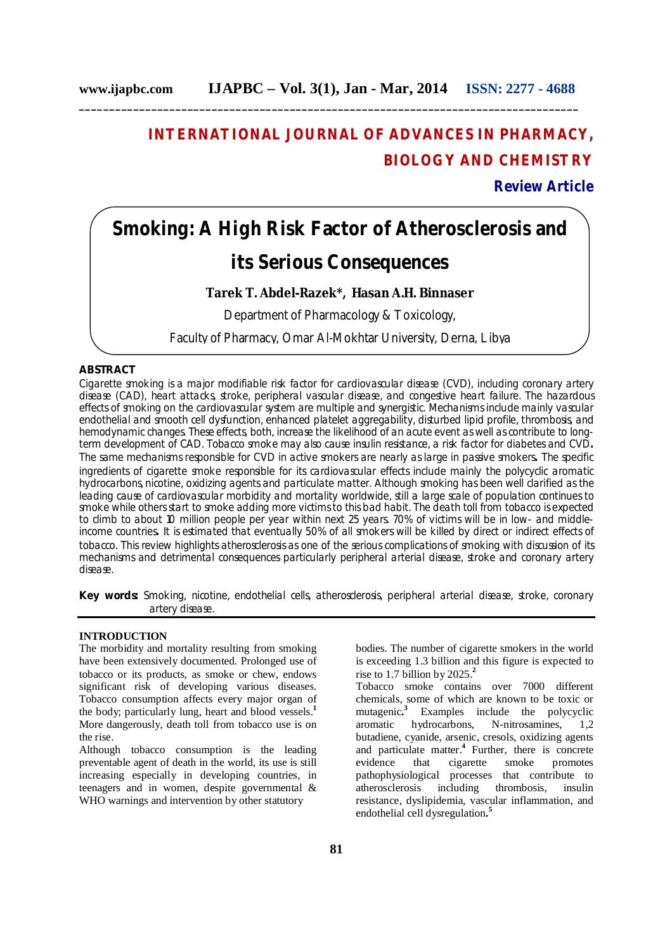# **INTERNATIONAL JOURNAL OF ADVANCES IN PHARMACY, BIOLOGY AND CHEMISTRY**

# **Review Article**

# **Smoking: A High Risk Factor of Atherosclerosis and its Serious Consequences**

# **Tarek T. Abdel-Razek\*, Hasan A.H. Binnaser**

Department of Pharmacology & Toxicology,

Faculty of Pharmacy, Omar Al-Mokhtar University, Derna, Libya

# **ABSTRACT**

Cigarette smoking is a major modifiable risk factor for cardiovascular disease (CVD), including coronary artery disease (CAD), heart attacks, stroke, peripheral vascular disease, and congestive heart failure. The hazardous effects of smoking on the cardiovascular system are multiple and synergistic. Mechanisms include mainly vascular endothelial and smooth cell dysfunction, enhanced platelet aggregability, disturbed lipid profile, thrombosis, and hemodynamic changes. These effects, both, increase the likelihood of an acute event as well as contribute to longterm development of CAD. Tobacco smoke may also cause insulin resistance, a risk factor for diabetes and CVD**.** The same mechanisms responsible for CVD in active smokers are nearly as large in passive smokers**.** The specific ingredients of cigarette smoke responsible for its cardiovascular effects include mainly the polycyclic aromatic hydrocarbons, nicotine, oxidizing agents and particulate matter. Although smoking has been well clarified as the leading cause of cardiovascular morbidity and mortality worldwide, still a large scale of population continues to smoke while others start to smoke adding more victims to this bad habit. The death toll from tobacco is expected to climb to about 10 million people per year within next 25 years. 70% of victims will be in low- and middleincome countries**.** It is estimated that eventually 50% of all smokers will be killed by direct or indirect effects of tobacco. This review highlights atherosclerosis as one of the serious complications of smoking with discussion of its mechanisms and detrimental consequences particularly peripheral arterial disease, stroke and coronary artery disease.

**Key words:** Smoking, nicotine, endothelial cells, atherosclerosis, peripheral arterial disease, stroke, coronary artery disease.

# **INTRODUCTION**

The morbidity and mortality resulting from smoking have been extensively documented. Prolonged use of tobacco or its products, as smoke or chew, endows significant risk of developing various diseases. Tobacco consumption affects every major organ of the body; particularly lung, heart and blood vessels. **1** More dangerously, death toll from tobacco use is on the rise.

Although tobacco consumption is the leading preventable agent of death in the world, its use is still increasing especially in developing countries, in teenagers and in women, despite governmental & WHO warnings and intervention by other statutory

bodies. The number of cigarette smokers in the world is exceeding 1.3 billion and this figure is expected to rise to 1.7 billion by 2025.**<sup>2</sup>**

Tobacco smoke contains over 7000 different chemicals, some of which are known to be toxic or mutagenic**. 3** Examples include the polycyclic aromatic hydrocarbons, N-nitrosamines, 1,2 butadiene, cyanide, arsenic, cresols, oxidizing agents and particulate matter.**<sup>4</sup>** Further, there is concrete evidence that cigarette smoke promotes pathophysiological processes that contribute to atherosclerosis including thrombosis, insulin resistance, dyslipidemia, vascular inflammation, and endothelial cell dysregulation**. 5**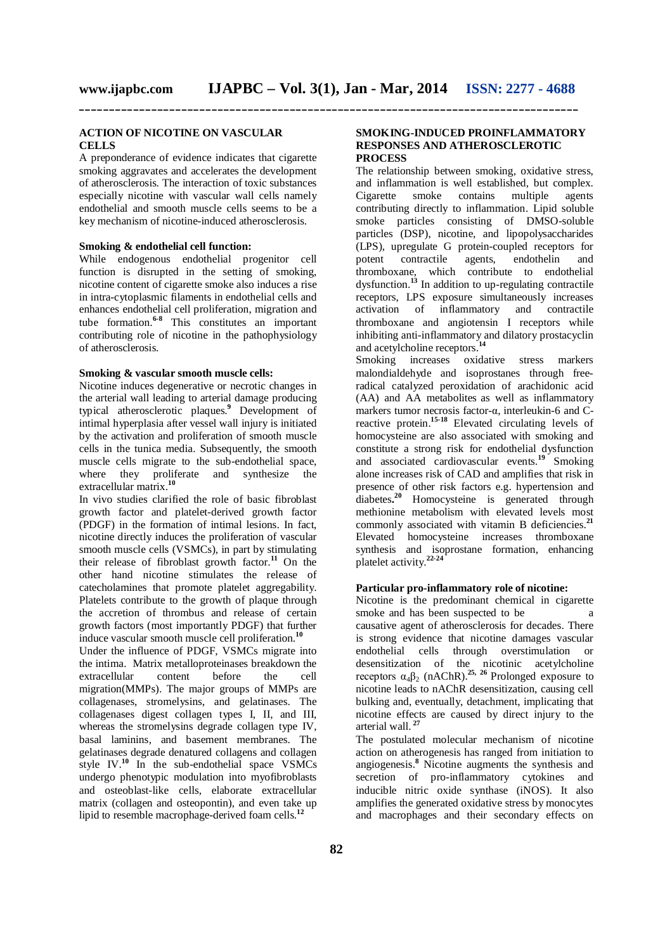#### **ACTION OF NICOTINE ON VASCULAR CELLS**

A preponderance of evidence indicates that cigarette smoking aggravates and accelerates the development of atherosclerosis. The interaction of toxic substances especially nicotine with vascular wall cells namely endothelial and smooth muscle cells seems to be a key mechanism of nicotine-induced atherosclerosis.

# **Smoking & endothelial cell function:**

While endogenous endothelial progenitor cell function is disrupted in the setting of smoking, nicotine content of cigarette smoke also induces a rise in intra-cytoplasmic filaments in endothelial cells and enhances endothelial cell proliferation, migration and tube formation.<sup>6-8</sup> This constitutes an important contributing role of nicotine in the pathophysiology of atherosclerosis.

#### **Smoking & vascular smooth muscle cells:**

Nicotine induces degenerative or necrotic changes in the arterial wall leading to arterial damage producing typical atherosclerotic plaques.**<sup>9</sup>** Development of intimal hyperplasia after vessel wall injury is initiated by the activation and proliferation of smooth muscle cells in the tunica media. Subsequently, the smooth muscle cells migrate to the sub-endothelial space, where they proliferate and synthesize the extracellular matrix.**<sup>10</sup>**

In vivo studies clarified the role of basic fibroblast growth factor and platelet-derived growth factor (PDGF) in the formation of intimal lesions. In fact, nicotine directly induces the proliferation of vascular smooth muscle cells (VSMCs), in part by stimulating their release of fibroblast growth factor.**<sup>11</sup>** On the other hand nicotine stimulates the release of catecholamines that promote platelet aggregability. Platelets contribute to the growth of plaque through the accretion of thrombus and release of certain growth factors (most importantly PDGF) that further induce vascular smooth muscle cell proliferation.**<sup>10</sup>**

Under the influence of PDGF, VSMCs migrate into the intima. Matrix metalloproteinases breakdown the extracellular content before the cell extracellular content before the cell migration(MMPs). The major groups of MMPs are collagenases, stromelysins, and gelatinases. The collagenases digest collagen types I, II, and III, whereas the stromelysins degrade collagen type IV. basal laminins, and basement membranes. The gelatinases degrade denatured collagens and collagen style  $IV.^{10}$  In the sub-endothelial space VSMCs undergo phenotypic modulation into myofibroblasts and osteoblast-like cells, elaborate extracellular matrix (collagen and osteopontin), and even take up lipid to resemble macrophage-derived foam cells.**<sup>12</sup>**

# **SMOKING-INDUCED PROINFLAMMATORY RESPONSES AND ATHEROSCLEROTIC PROCESS**

The relationship between smoking, oxidative stress, and inflammation is well established, but complex. Cigarette smoke contains multiple agents contributing directly to inflammation. Lipid soluble smoke particles consisting of DMSO-soluble particles (DSP), nicotine, and lipopolysaccharides (LPS), upregulate G protein-coupled receptors for potent contractile agents, endothelin and thromboxane, which contribute to endothelial dysfunction.**<sup>13</sup>** In addition to up-regulating contractile receptors, LPS exposure simultaneously increases activation of inflammatory and contractile thromboxane and angiotensin I receptors while inhibiting anti-inflammatory and dilatory prostacyclin and acetylcholine receptors.**<sup>14</sup>**

Smoking increases oxidative stress markers malondialdehyde and isoprostanes through freeradical catalyzed peroxidation of arachidonic acid (AA) and AA metabolites as well as inflammatory markers tumor necrosis factor-α, interleukin-6 and Creactive protein. **15-18** Elevated circulating levels of homocysteine are also associated with smoking and constitute a strong risk for endothelial dysfunction and associated cardiovascular events. **<sup>19</sup>** Smoking alone increases risk of CAD and amplifies that risk in presence of other risk factors e.g. hypertension and diabetes**. <sup>20</sup>** Homocysteine is generated through methionine metabolism with elevated levels most commonly associated with vitamin B deficiencies.**<sup>21</sup>** Elevated homocysteine increases thromboxane synthesis and isoprostane formation, enhancing platelet activity.**22-24**

# **Particular pro-inflammatory role of nicotine:**

Nicotine is the predominant chemical in cigarette smoke and has been suspected to be a causative agent of atherosclerosis for decades. There is strong evidence that nicotine damages vascular endothelial cells through overstimulation or desensitization of the nicotinic acetylcholine receptors  $\alpha_4\beta_2$  (nAChR).<sup>25, 26</sup> Prolonged exposure to nicotine leads to nAChR desensitization, causing cell bulking and, eventually, detachment, implicating that nicotine effects are caused by direct injury to the arterial wall. **<sup>27</sup>**

The postulated molecular mechanism of nicotine action on atherogenesis has ranged from initiation to angiogenesis.**<sup>8</sup>** Nicotine augments the synthesis and secretion of pro-inflammatory cytokines and inducible nitric oxide synthase (iNOS). It also amplifies the generated oxidative stress by monocytes and macrophages and their secondary effects on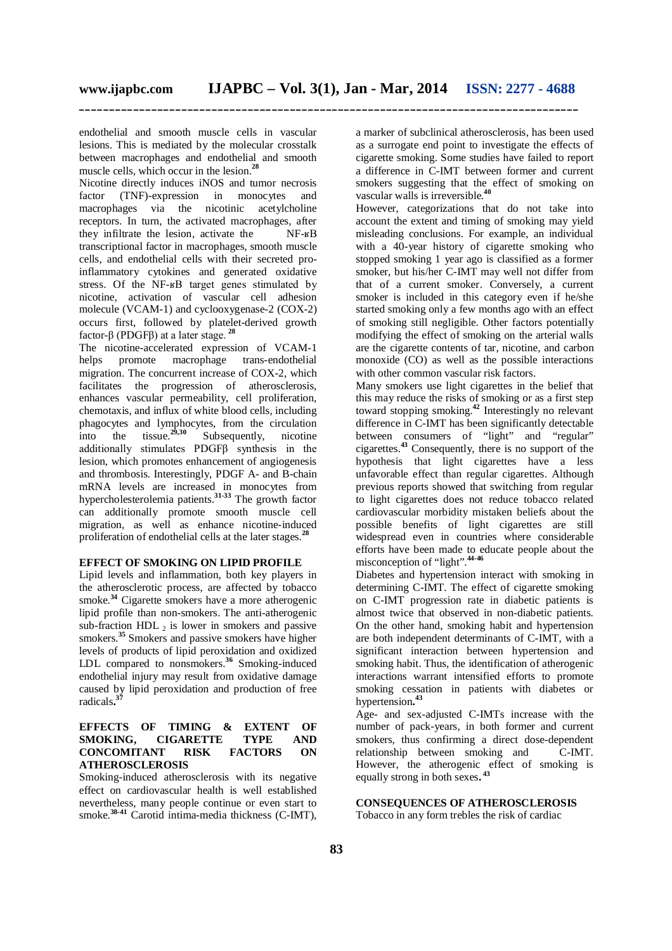endothelial and smooth muscle cells in vascular lesions. This is mediated by the molecular crosstalk between macrophages and endothelial and smooth muscle cells, which occur in the lesion.**<sup>28</sup>**

Nicotine directly induces iNOS and tumor necrosis factor (TNF)-expression in monocytes and macrophages via the nicotinic acetylcholine receptors. In turn, the activated macrophages, after they infiltrate the lesion, activate the NF-ʁB transcriptional factor in macrophages, smooth muscle cells, and endothelial cells with their secreted proinflammatory cytokines and generated oxidative stress. Of the NF-ʁB target genes stimulated by nicotine, activation of vascular cell adhesion molecule (VCAM-1) and cyclooxygenase-2 (COX-2) occurs first, followed by platelet-derived growth factor-β (PDGFβ) at a later stage. **<sup>28</sup>**

The nicotine-accelerated expression of VCAM-1 helps promote macrophage trans-endothelial migration. The concurrent increase of COX-2, which facilitates the progression of atherosclerosis, enhances vascular permeability, cell proliferation, chemotaxis, and influx of white blood cells, including phagocytes and lymphocytes, from the circulation into the tissue.**29,30** Subsequently, nicotine additionally stimulates PDGFβ synthesis in the lesion, which promotes enhancement of angiogenesis and thrombosis. Interestingly, PDGF A- and B-chain mRNA levels are increased in monocytes from hypercholesterolemia patients.**31-33** The growth factor can additionally promote smooth muscle cell migration, as well as enhance nicotine-induced proliferation of endothelial cells at the later stages.**<sup>28</sup>**

# **EFFECT OF SMOKING ON LIPID PROFILE**

Lipid levels and inflammation, both key players in the atherosclerotic process, are affected by tobacco smoke.<sup>34</sup> Cigarette smokers have a more atherogenic lipid profile than non-smokers. The anti-atherogenic sub-fraction HDL  $_2$  is lower in smokers and passive smokers.<sup>35</sup> Smokers and passive smokers have higher levels of products of lipid peroxidation and oxidized LDL compared to nonsmokers.**<sup>36</sup>** Smoking-induced endothelial injury may result from oxidative damage caused by lipid peroxidation and production of free radicals**. 37**

# **EFFECTS OF TIMING & EXTENT OF SMOKING, CIGARETTE TYPE AND CONCOMITANT RISK FACTORS ON ATHEROSCLEROSIS**

Smoking-induced atherosclerosis with its negative effect on cardiovascular health is well established nevertheless, many people continue or even start to smoke.**38-41** Carotid intima-media thickness (C-IMT),

a marker of subclinical atherosclerosis, has been used as a surrogate end point to investigate the effects of cigarette smoking. Some studies have failed to report a difference in C-IMT between former and current smokers suggesting that the effect of smoking on vascular walls is irreversible.**<sup>40</sup>**

However, categorizations that do not take into account the extent and timing of smoking may yield misleading conclusions. For example, an individual with a 40-year history of cigarette smoking who stopped smoking 1 year ago is classified as a former smoker, but his/her C-IMT may well not differ from that of a current smoker. Conversely, a current smoker is included in this category even if he/she started smoking only a few months ago with an effect of smoking still negligible. Other factors potentially modifying the effect of smoking on the arterial walls are the cigarette contents of tar, nicotine, and carbon monoxide (CO) as well as the possible interactions with other common vascular risk factors.

Many smokers use light cigarettes in the belief that this may reduce the risks of smoking or as a first step toward stopping smoking.**<sup>42</sup>** Interestingly no relevant difference in C-IMT has been significantly detectable between consumers of "light" and "regular" cigarettes.**<sup>43</sup>** Consequently, there is no support of the hypothesis that light cigarettes have a less unfavorable effect than regular cigarettes. Although previous reports showed that switching from regular to light cigarettes does not reduce tobacco related cardiovascular morbidity mistaken beliefs about the possible benefits of light cigarettes are still widespread even in countries where considerable efforts have been made to educate people about the misconception of "light".<sup>44-46</sup>

Diabetes and hypertension interact with smoking in determining C-IMT. The effect of cigarette smoking on C-IMT progression rate in diabetic patients is almost twice that observed in non-diabetic patients. On the other hand, smoking habit and hypertension are both independent determinants of C-IMT, with a significant interaction between hypertension and smoking habit. Thus, the identification of atherogenic interactions warrant intensified efforts to promote smoking cessation in patients with diabetes or hypertension**. 43**

Age- and sex-adjusted C-IMTs increase with the number of pack-years, in both former and current smokers, thus confirming a direct dose-dependent relationship between smoking and C-IMT. However, the atherogenic effect of smoking is equally strong in both sexes**. 43**

**CONSEQUENCES OF ATHEROSCLEROSIS** Tobacco in any form trebles the risk of cardiac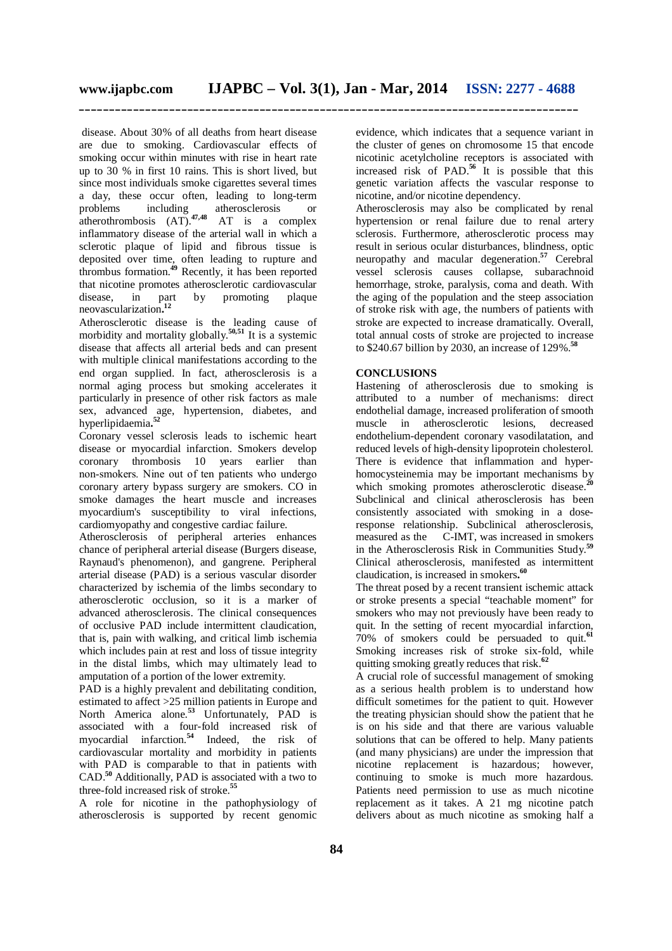disease. About 30% of all deaths from heart disease are due to smoking. Cardiovascular effects of smoking occur within minutes with rise in heart rate up to 30 % in first 10 rains. This is short lived, but since most individuals smoke cigarettes several times a day, these occur often, leading to long-term problems including atherosclerosis or atherothrombosis (AT).**47,48** AT is a complex inflammatory disease of the arterial wall in which a sclerotic plaque of lipid and fibrous tissue is deposited over time, often leading to rupture and thrombus formation.**<sup>49</sup>** Recently, it has been reported that nicotine promotes atherosclerotic cardiovascular disease, in part by promoting plaque neovascularization**. 12** 

Atherosclerotic disease is the leading cause of morbidity and mortality globally.**50,51** It is a systemic disease that affects all arterial beds and can present with multiple clinical manifestations according to the end organ supplied. In fact, atherosclerosis is a normal aging process but smoking accelerates it particularly in presence of other risk factors as male sex, advanced age, hypertension, diabetes, and hyperlipidaemia**. 52**

Coronary vessel sclerosis leads to ischemic heart disease or myocardial infarction. Smokers develop coronary thrombosis 10 years earlier than non-smokers. Nine out of ten patients who undergo coronary artery bypass surgery are smokers. CO in smoke damages the heart muscle and increases myocardium's susceptibility to viral infections, cardiomyopathy and congestive cardiac failure.

Atherosclerosis of peripheral arteries enhances chance of peripheral arterial disease (Burgers disease, Raynaud's phenomenon), and gangrene. Peripheral arterial disease (PAD) is a serious vascular disorder characterized by ischemia of the limbs secondary to atherosclerotic occlusion, so it is a marker of advanced atherosclerosis. The clinical consequences of occlusive PAD include intermittent claudication, that is, pain with walking, and critical limb ischemia which includes pain at rest and loss of tissue integrity in the distal limbs, which may ultimately lead to amputation of a portion of the lower extremity.

PAD is a highly prevalent and debilitating condition, estimated to affect >25 million patients in Europe and North America alone.**<sup>53</sup>** Unfortunately, PAD is associated with a four-fold increased risk of myocardial infarction.**<sup>54</sup>** Indeed, the risk of cardiovascular mortality and morbidity in patients with PAD is comparable to that in patients with CAD. **<sup>50</sup>** Additionally, PAD is associated with a two to three-fold increased risk of stroke. **55**

A role for nicotine in the pathophysiology of atherosclerosis is supported by recent genomic evidence, which indicates that a sequence variant in the cluster of genes on chromosome 15 that encode nicotinic acetylcholine receptors is associated with increased risk of PAD. **<sup>56</sup>** It is possible that this genetic variation affects the vascular response to nicotine, and/or nicotine dependency.

Atherosclerosis may also be complicated by renal hypertension or renal failure due to renal artery sclerosis. Furthermore, atherosclerotic process may result in serious ocular disturbances, blindness, optic neuropathy and macular degeneration.**<sup>57</sup>** Cerebral vessel sclerosis causes collapse, subarachnoid hemorrhage, stroke, paralysis, coma and death. With the aging of the population and the steep association of stroke risk with age, the numbers of patients with stroke are expected to increase dramatically. Overall, total annual costs of stroke are projected to increase to \$240.67 billion by 2030, an increase of 129%. **58**

# **CONCLUSIONS**

Hastening of atherosclerosis due to smoking is attributed to a number of mechanisms: direct endothelial damage, increased proliferation of smooth muscle in atherosclerotic lesions, decreased endothelium-dependent coronary vasodilatation, and reduced levels of high-density lipoprotein cholesterol. There is evidence that inflammation and hyperhomocysteinemia may be important mechanisms by which smoking promotes atherosclerotic disease.<sup>20</sup> Subclinical and clinical atherosclerosis has been consistently associated with smoking in a doseresponse relationship. Subclinical atherosclerosis,<br>measured as the C-IMT, was increased in smokers C-IMT, was increased in smokers in the Atherosclerosis Risk in Communities Study.**<sup>59</sup>** Clinical atherosclerosis, manifested as intermittent claudication, is increased in smokers**. 60**

The threat posed by a recent transient ischemic attack or stroke presents a special "teachable moment" for smokers who may not previously have been ready to quit. In the setting of recent myocardial infarction, 70% of smokers could be persuaded to quit.**<sup>61</sup>** Smoking increases risk of stroke six-fold, while quitting smoking greatly reduces that risk. **62**

A crucial role of successful management of smoking as a serious health problem is to understand how difficult sometimes for the patient to quit. However the treating physician should show the patient that he is on his side and that there are various valuable solutions that can be offered to help. Many patients (and many physicians) are under the impression that nicotine replacement is hazardous; however, continuing to smoke is much more hazardous. Patients need permission to use as much nicotine replacement as it takes. A 21 mg nicotine patch delivers about as much nicotine as smoking half a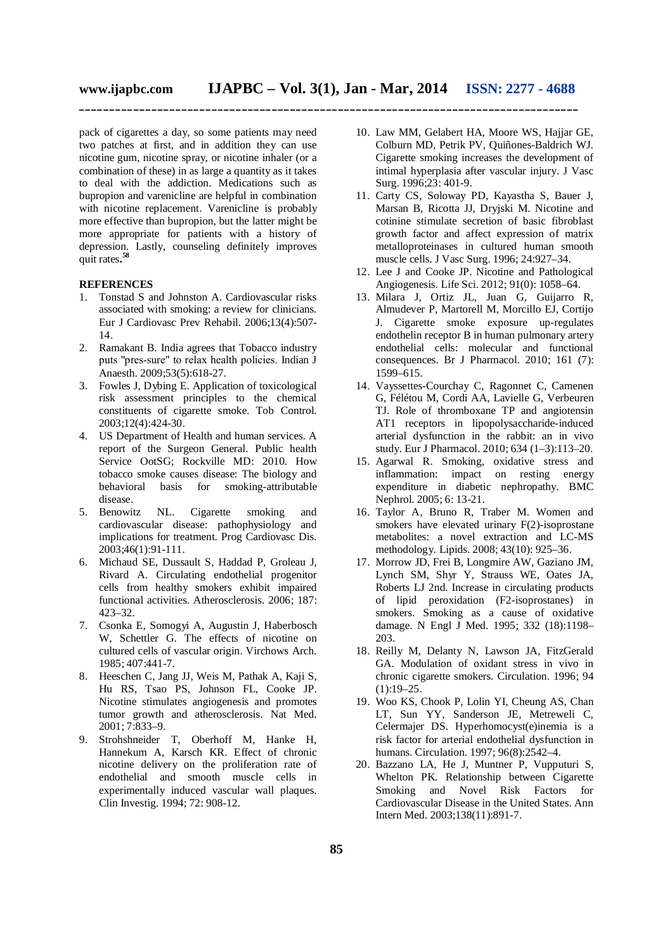pack of cigarettes a day, so some patients may need two patches at first, and in addition they can use nicotine gum, nicotine spray, or nicotine inhaler (or a combination of these) in as large a quantity as it takes to deal with the addiction. Medications such as bupropion and varenicline are helpful in combination with nicotine replacement. Varenicline is probably more effective than bupropion, but the latter might be more appropriate for patients with a history of depression. Lastly, counseling definitely improves quit rates**. 58**

#### **REFERENCES**

- 1. Tonstad S and Johnston A. Cardiovascular risks associated with smoking: a review for clinicians. Eur J Cardiovasc Prev Rehabil. 2006;13(4):507- 14.
- 2. Ramakant B. India agrees that Tobacco industry puts "pres-sure" to relax health policies. Indian J Anaesth. 2009;53(5):618-27.
- 3. Fowles J, Dybing E. Application of toxicological risk assessment principles to the chemical constituents of cigarette smoke. Tob Control. 2003;12(4):424-30.
- 4. US Department of Health and human services. A report of the Surgeon General. Public health Service OotSG; Rockville MD: 2010. How tobacco smoke causes disease: The biology and behavioral basis for smoking-attributable disease.
- 5. Benowitz NL. Cigarette smoking and cardiovascular disease: pathophysiology and implications for treatment. Prog Cardiovasc Dis. 2003;46(1):91-111.
- 6. Michaud SE, Dussault S, Haddad P, Groleau J, Rivard A. Circulating endothelial progenitor cells from healthy smokers exhibit impaired functional activities. Atherosclerosis. 2006; 187: 423–32.
- 7. Csonka E, Somogyi A, Augustin J, Haberbosch W, Schettler G. The effects of nicotine on cultured cells of vascular origin. Virchows Arch. 1985; 407:441-7.
- 8. Heeschen C, Jang JJ, Weis M, Pathak A, Kaji S, Hu RS, Tsao PS, Johnson FL, Cooke JP. Nicotine stimulates angiogenesis and promotes tumor growth and atherosclerosis. Nat Med. 2001; 7:833–9.
- 9. Strohshneider T, Oberhoff M, Hanke H, Hannekum A, Karsch KR. Effect of chronic nicotine delivery on the proliferation rate of endothelial and smooth muscle cells in experimentally induced vascular wall plaques. Clin Investig. 1994; 72: 908-12.
- 10. Law MM, Gelabert HA, Moore WS, Hajjar GE, Colburn MD, Petrik PV, Quiñones-Baldrich WJ. Cigarette smoking increases the development of intimal hyperplasia after vascular injury. J Vasc Surg. 1996;23: 401-9.
- 11. Carty CS, Soloway PD, Kayastha S, Bauer J, Marsan B, Ricotta JJ, Dryjski M. Nicotine and cotinine stimulate secretion of basic fibroblast growth factor and affect expression of matrix metalloproteinases in cultured human smooth muscle cells. J Vasc Surg. 1996; 24:927–34.
- 12. Lee J and Cooke JP. Nicotine and Pathological Angiogenesis. Life Sci. 2012; 91(0): 1058–64.
- 13. Milara J, Ortiz JL, Juan G, Guijarro R, Almudever P, Martorell M, Morcillo EJ, Cortijo J. Cigarette smoke exposure up-regulates endothelin receptor B in human pulmonary artery endothelial cells: molecular and functional consequences. Br J Pharmacol. 2010; 161 (7): 1599–615.
- 14. Vayssettes-Courchay C, Ragonnet C, Camenen G, Félétou M, Cordi AA, Lavielle G, Verbeuren TJ. Role of thromboxane TP and angiotensin AT1 receptors in lipopolysaccharide-induced arterial dysfunction in the rabbit: an in vivo study. Eur J Pharmacol. 2010; 634 (1–3):113–20.
- 15. Agarwal R. Smoking, oxidative stress and inflammation: impact on resting energy expenditure in diabetic nephropathy. BMC Nephrol. 2005; 6: 13-21.
- 16. Taylor A, Bruno R, Traber M. Women and smokers have elevated urinary F(2)-isoprostane metabolites: a novel extraction and LC-MS methodology. Lipids. 2008; 43(10): 925–36.
- 17. Morrow JD, Frei B, Longmire AW, Gaziano JM, Lynch SM, Shyr Y, Strauss WE, Oates JA, Roberts LJ 2nd. Increase in circulating products of lipid peroxidation (F2-isoprostanes) in smokers. Smoking as a cause of oxidative damage. N Engl J Med. 1995; 332 (18):1198– 203.
- 18. Reilly M, Delanty N, Lawson JA, FitzGerald GA. Modulation of oxidant stress in vivo in chronic cigarette smokers. Circulation. 1996; 94  $(1):19-25.$
- 19. Woo KS, Chook P, Lolin YI, Cheung AS, Chan LT, Sun YY, Sanderson JE, Metreweli C, Celermajer DS. Hyperhomocyst(e)inemia is a risk factor for arterial endothelial dysfunction in humans. Circulation. 1997; 96(8):2542–4.
- 20. Bazzano LA, He J, Muntner P, Vupputuri S, Whelton PK. Relationship between Cigarette Smoking and Novel Risk Factors for Cardiovascular Disease in the United States. Ann Intern Med. 2003;138(11):891-7.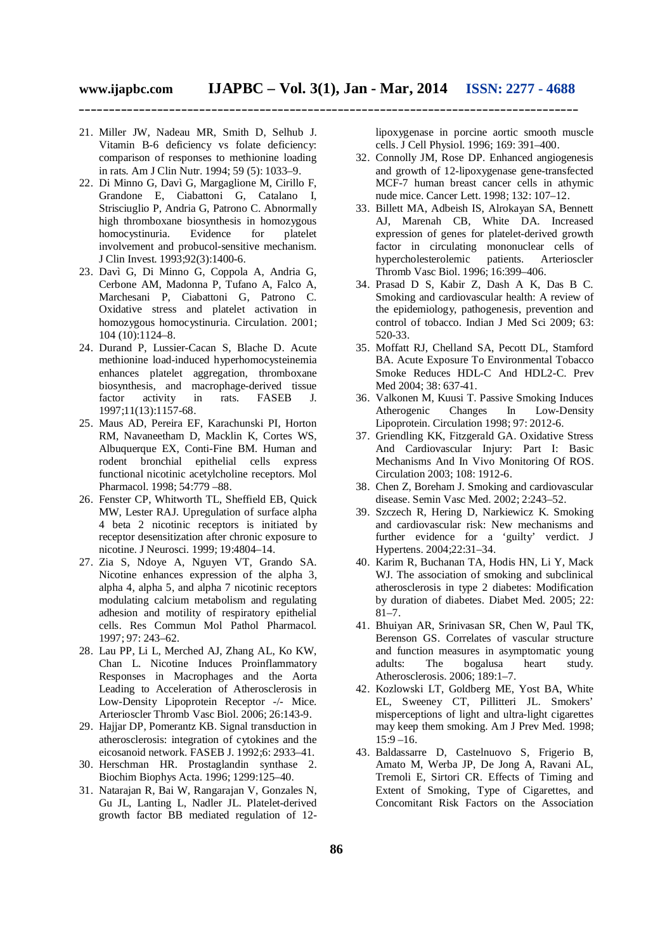- 21. Miller JW, Nadeau MR, Smith D, Selhub J. Vitamin B-6 deficiency vs folate deficiency: comparison of responses to methionine loading in rats. Am J Clin Nutr. 1994; 59 (5): 1033–9.
- 22. Di Minno G, Davì G, Margaglione M, Cirillo F, Grandone E, Ciabattoni G, Catalano I, Strisciuglio P, Andria G, Patrono C. Abnormally high thromboxane biosynthesis in homozygous homocystinuria. Evidence for platelet involvement and probucol-sensitive mechanism. J Clin Invest. 1993;92(3):1400-6.
- 23. Davì G, Di Minno G, Coppola A, Andria G, Cerbone AM, Madonna P, Tufano A, Falco A, Marchesani P, Ciabattoni G, Patrono C. Oxidative stress and platelet activation in homozygous homocystinuria. Circulation. 2001; 104 (10):1124–8.
- 24. Durand P, Lussier-Cacan S, Blache D. Acute methionine load-induced hyperhomocysteinemia enhances platelet aggregation, thromboxane biosynthesis, and macrophage-derived tissue factor activity in rats. FASEB J. 1997;11(13):1157-68.
- 25. Maus AD, Pereira EF, Karachunski PI, Horton RM, Navaneetham D, Macklin K, Cortes WS, Albuquerque EX, Conti-Fine BM. Human and rodent bronchial epithelial cells express functional nicotinic acetylcholine receptors. Mol Pharmacol. 1998; 54:779 –88.
- 26. Fenster CP, Whitworth TL, Sheffield EB, Quick MW, Lester RAJ. Upregulation of surface alpha 4 beta 2 nicotinic receptors is initiated by receptor desensitization after chronic exposure to nicotine. J Neurosci. 1999; 19:4804–14.
- 27. Zia S, Ndoye A, Nguyen VT, Grando SA. Nicotine enhances expression of the alpha 3, alpha 4, alpha 5, and alpha 7 nicotinic receptors modulating calcium metabolism and regulating adhesion and motility of respiratory epithelial cells. Res Commun Mol Pathol Pharmacol. 1997; 97: 243–62.
- 28. Lau PP, Li L, Merched AJ, Zhang AL, Ko KW, Chan L. Nicotine Induces Proinflammatory Responses in Macrophages and the Aorta Leading to Acceleration of Atherosclerosis in Low-Density Lipoprotein Receptor -/- Mice. Arterioscler Thromb Vasc Biol. 2006; 26:143-9.
- 29. Hajjar DP, Pomerantz KB. Signal transduction in atherosclerosis: integration of cytokines and the eicosanoid network. FASEB J. 1992;6: 2933–41.
- 30. Herschman HR. Prostaglandin synthase 2. Biochim Biophys Acta. 1996; 1299:125–40.
- 31. Natarajan R, Bai W, Rangarajan V, Gonzales N, Gu JL, Lanting L, Nadler JL. Platelet-derived growth factor BB mediated regulation of 12-

lipoxygenase in porcine aortic smooth muscle cells. J Cell Physiol. 1996; 169: 391–400.

- 32. Connolly JM, Rose DP. Enhanced angiogenesis and growth of 12-lipoxygenase gene-transfected MCF-7 human breast cancer cells in athymic nude mice. Cancer Lett. 1998; 132: 107–12.
- 33. Billett MA, Adbeish IS, Alrokayan SA, Bennett AJ, Marenah CB, White DA. Increased expression of genes for platelet-derived growth factor in circulating mononuclear cells of hypercholesterolemic patients. Arterioscler Thromb Vasc Biol. 1996; 16:399–406.
- 34. Prasad D S, Kabir Z, Dash A K, Das B C. Smoking and cardiovascular health: A review of the epidemiology, pathogenesis, prevention and control of tobacco. Indian J Med Sci 2009; 63: 520-33.
- 35. Moffatt RJ, Chelland SA, Pecott DL, Stamford BA. Acute Exposure To Environmental Tobacco Smoke Reduces HDL-C And HDL2-C. Prev Med 2004; 38: 637-41.
- 36. Valkonen M, Kuusi T. Passive Smoking Induces Atherogenic Changes In Low-Density Lipoprotein. Circulation 1998; 97: 2012-6.
- 37. Griendling KK, Fitzgerald GA. Oxidative Stress And Cardiovascular Injury: Part I: Basic Mechanisms And In Vivo Monitoring Of ROS. Circulation 2003; 108: 1912-6.
- 38. Chen Z, Boreham J. Smoking and cardiovascular disease. Semin Vasc Med. 2002; 2:243–52.
- 39. Szczech R, Hering D, Narkiewicz K. Smoking and cardiovascular risk: New mechanisms and further evidence for a 'guilty' verdict. J Hypertens. 2004;22:31–34.
- 40. Karim R, Buchanan TA, Hodis HN, Li Y, Mack WJ. The association of smoking and subclinical atherosclerosis in type 2 diabetes: Modification by duration of diabetes. Diabet Med. 2005; 22:  $81 - 7$ .
- 41. Bhuiyan AR, Srinivasan SR, Chen W, Paul TK, Berenson GS. Correlates of vascular structure and function measures in asymptomatic young adults: The bogalusa heart study. Atherosclerosis. 2006; 189:1–7.
- 42. Kozlowski LT, Goldberg ME, Yost BA, White EL, Sweeney CT, Pillitteri JL. Smokers' misperceptions of light and ultra-light cigarettes may keep them smoking. Am J Prev Med. 1998;  $15:9 - 16.$
- 43. Baldassarre D, Castelnuovo S, Frigerio B, Amato M, Werba JP, De Jong A, Ravani AL, Tremoli E, Sirtori CR. Effects of Timing and Extent of Smoking, Type of Cigarettes, and Concomitant Risk Factors on the Association